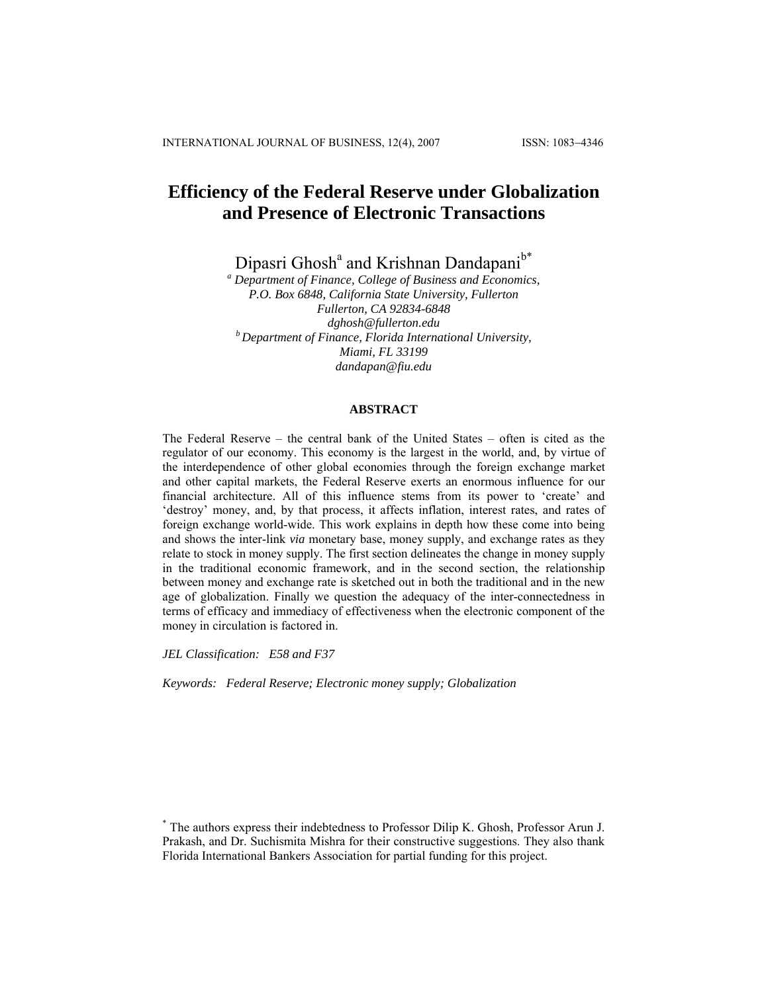# **Efficiency of the Federal Reserve under Globalization and Presence of Electronic Transactions**

Dipasri Ghosh<sup>a</sup> and Krishnan Dandapani<sup>b\*</sup>

*a Department of Finance, College of Business and Economics, P.O. Box 6848, California State University, Fullerton Fullerton, CA 92834-6848 dghosh@fullerton.edu b Department of Finance, Florida International University, Miami, FL 33199 [dandapan@fiu.edu](mailto:dandapan@fiu.edu)*

#### **ABSTRACT**

The Federal Reserve – the central bank of the United States – often is cited as the regulator of our economy. This economy is the largest in the world, and, by virtue of the interdependence of other global economies through the foreign exchange market and other capital markets, the Federal Reserve exerts an enormous influence for our financial architecture. All of this influence stems from its power to 'create' and 'destroy' money, and, by that process, it affects inflation, interest rates, and rates of foreign exchange world-wide. This work explains in depth how these come into being and shows the inter-link *via* monetary base, money supply, and exchange rates as they relate to stock in money supply. The first section delineates the change in money supply in the traditional economic framework, and in the second section, the relationship between money and exchange rate is sketched out in both the traditional and in the new age of globalization. Finally we question the adequacy of the inter-connectedness in terms of efficacy and immediacy of effectiveness when the electronic component of the money in circulation is factored in.

*JEL Classification: E58 and F37* 

*Keywords: Federal Reserve; Electronic money supply; Globalization*

<sup>\*</sup> The authors express their indebtedness to Professor Dilip K. Ghosh, Professor Arun J. Prakash, and Dr. Suchismita Mishra for their constructive suggestions. They also thank Florida International Bankers Association for partial funding for this project.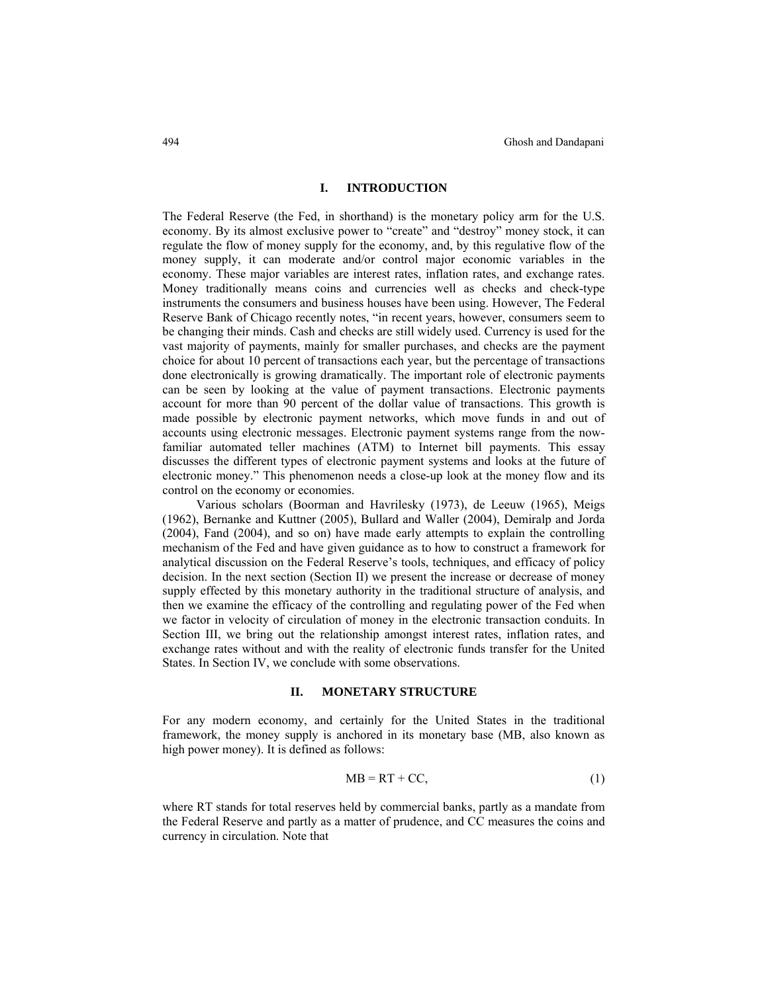## **I. INTRODUCTION**

The Federal Reserve (the Fed, in shorthand) is the monetary policy arm for the U.S. economy. By its almost exclusive power to "create" and "destroy" money stock, it can regulate the flow of money supply for the economy, and, by this regulative flow of the money supply, it can moderate and/or control major economic variables in the economy. These major variables are interest rates, inflation rates, and exchange rates. Money traditionally means coins and currencies well as checks and check-type instruments the consumers and business houses have been using. However, The Federal Reserve Bank of Chicago recently notes, "in recent years, however, consumers seem to be changing their minds. Cash and checks are still widely used. Currency is used for the vast majority of payments, mainly for smaller purchases, and checks are the payment choice for about 10 percent of transactions each year, but the percentage of transactions done electronically is growing dramatically. The important role of electronic payments can be seen by looking at the value of payment transactions. Electronic payments account for more than 90 percent of the dollar value of transactions. This growth is made possible by electronic payment networks, which move funds in and out of accounts using electronic messages. Electronic payment systems range from the nowfamiliar automated teller machines (ATM) to Internet bill payments. This essay discusses the different types of electronic payment systems and looks at the future of electronic money." This phenomenon needs a close-up look at the money flow and its control on the economy or economies.

 Various scholars (Boorman and Havrilesky (1973), de Leeuw (1965), Meigs (1962), Bernanke and Kuttner (2005), Bullard and Waller (2004), Demiralp and Jorda (2004), Fand (2004), and so on) have made early attempts to explain the controlling mechanism of the Fed and have given guidance as to how to construct a framework for analytical discussion on the Federal Reserve's tools, techniques, and efficacy of policy decision. In the next section (Section II) we present the increase or decrease of money supply effected by this monetary authority in the traditional structure of analysis, and then we examine the efficacy of the controlling and regulating power of the Fed when we factor in velocity of circulation of money in the electronic transaction conduits. In Section III, we bring out the relationship amongst interest rates, inflation rates, and exchange rates without and with the reality of electronic funds transfer for the United States. In Section IV, we conclude with some observations.

#### **II. MONETARY STRUCTURE**

For any modern economy, and certainly for the United States in the traditional framework, the money supply is anchored in its monetary base (MB, also known as high power money). It is defined as follows:

$$
MB = RT + CC,
$$
 (1)

where RT stands for total reserves held by commercial banks, partly as a mandate from the Federal Reserve and partly as a matter of prudence, and CC measures the coins and currency in circulation. Note that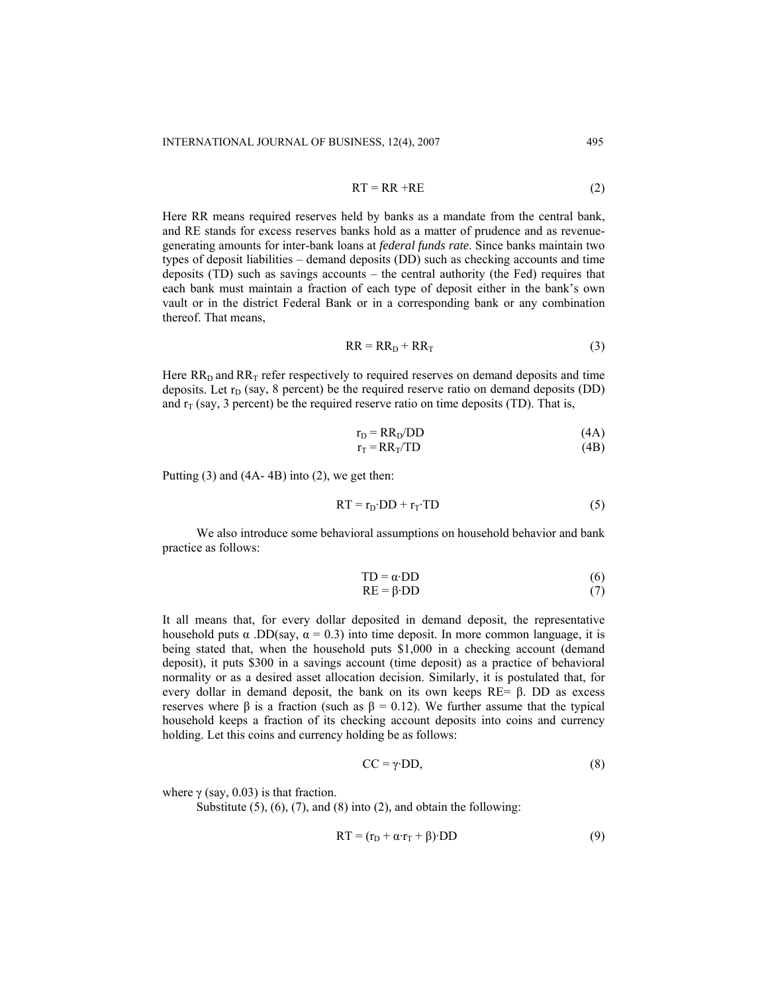$$
RT = RR + RE
$$
 (2)

Here RR means required reserves held by banks as a mandate from the central bank, and RE stands for excess reserves banks hold as a matter of prudence and as revenuegenerating amounts for inter-bank loans at *federal funds rate*. Since banks maintain two types of deposit liabilities – demand deposits (DD) such as checking accounts and time deposits (TD) such as savings accounts – the central authority (the Fed) requires that each bank must maintain a fraction of each type of deposit either in the bank's own vault or in the district Federal Bank or in a corresponding bank or any combination thereof. That means,

$$
RR = RRD + RRT
$$
 (3)

Here  $RR<sub>D</sub>$  and  $RR<sub>T</sub>$  refer respectively to required reserves on demand deposits and time deposits. Let  $r_D$  (say, 8 percent) be the required reserve ratio on demand deposits (DD) and  $r<sub>T</sub>$  (say, 3 percent) be the required reserve ratio on time deposits (TD). That is,

$$
r_D = RR_D / DD
$$
 (4A)  

$$
r_T = RR_T / TD
$$
 (4B)

Putting (3) and (4A- 4B) into (2), we get then:

$$
RT = r_D \cdot DD + r_T \cdot TD \tag{5}
$$

 We also introduce some behavioral assumptions on household behavior and bank practice as follows:

$$
TD = \alpha \cdot DD \tag{6}
$$

$$
RE = \beta \cdot DD \tag{7}
$$

It all means that, for every dollar deposited in demand deposit, the representative household puts  $\alpha$ . DD(say,  $\alpha = 0.3$ ) into time deposit. In more common language, it is being stated that, when the household puts \$1,000 in a checking account (demand deposit), it puts \$300 in a savings account (time deposit) as a practice of behavioral normality or as a desired asset allocation decision. Similarly, it is postulated that, for every dollar in demand deposit, the bank on its own keeps  $RE = \beta$ . DD as excess reserves where β is a fraction (such as  $β = 0.12$ ). We further assume that the typical household keeps a fraction of its checking account deposits into coins and currency holding. Let this coins and currency holding be as follows:

$$
CC = \gamma \cdot DD,\tag{8}
$$

where  $\gamma$  (say, 0.03) is that fraction.

Substitute  $(5)$ ,  $(6)$ ,  $(7)$ , and  $(8)$  into  $(2)$ , and obtain the following:

$$
RT = (r_D + \alpha \cdot r_T + \beta) \cdot DD
$$
 (9)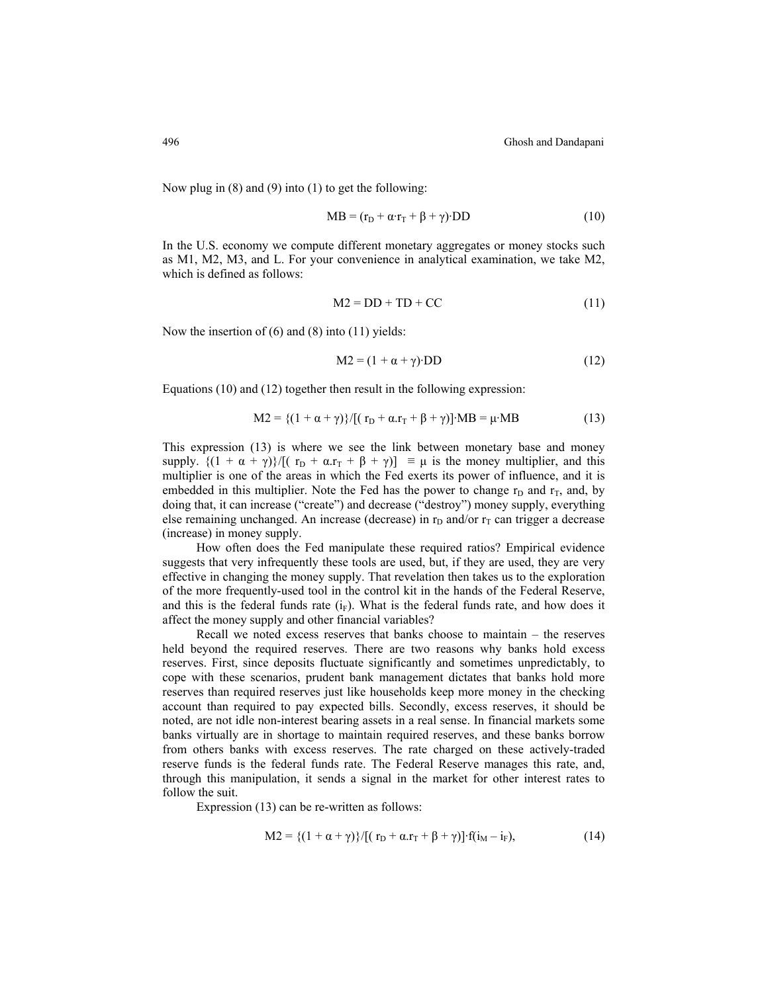Now plug in (8) and (9) into (1) to get the following:

$$
MB = (r_D + \alpha \cdot r_T + \beta + \gamma) \cdot DD \tag{10}
$$

In the U.S. economy we compute different monetary aggregates or money stocks such as M1, M2, M3, and L. For your convenience in analytical examination, we take M2, which is defined as follows:

$$
M2 = DD + TD + CC \tag{11}
$$

Now the insertion of (6) and (8) into (11) yields:

$$
M2 = (1 + \alpha + \gamma) \cdot DD \tag{12}
$$

Equations (10) and (12) together then result in the following expression:

$$
M2 = \{(1 + \alpha + \gamma)\}/[(r_D + \alpha.r_T + \beta + \gamma)] \cdot MB = \mu \cdot MB \tag{13}
$$

This expression (13) is where we see the link between monetary base and money supply.  $\{(1 + \alpha + \gamma)\}/[(r_D + \alpha.r_T + \beta + \gamma)] \equiv \mu$  is the money multiplier, and this multiplier is one of the areas in which the Fed exerts its power of influence, and it is embedded in this multiplier. Note the Fed has the power to change  $r<sub>D</sub>$  and  $r<sub>T</sub>$ , and, by doing that, it can increase ("create") and decrease ("destroy") money supply, everything else remaining unchanged. An increase (decrease) in  $r<sub>D</sub>$  and/or  $r<sub>T</sub>$  can trigger a decrease (increase) in money supply.

 How often does the Fed manipulate these required ratios? Empirical evidence suggests that very infrequently these tools are used, but, if they are used, they are very effective in changing the money supply. That revelation then takes us to the exploration of the more frequently-used tool in the control kit in the hands of the Federal Reserve, and this is the federal funds rate  $(i_F)$ . What is the federal funds rate, and how does it affect the money supply and other financial variables?

 Recall we noted excess reserves that banks choose to maintain – the reserves held beyond the required reserves. There are two reasons why banks hold excess reserves. First, since deposits fluctuate significantly and sometimes unpredictably, to cope with these scenarios, prudent bank management dictates that banks hold more reserves than required reserves just like households keep more money in the checking account than required to pay expected bills. Secondly, excess reserves, it should be noted, are not idle non-interest bearing assets in a real sense. In financial markets some banks virtually are in shortage to maintain required reserves, and these banks borrow from others banks with excess reserves. The rate charged on these actively-traded reserve funds is the federal funds rate. The Federal Reserve manages this rate, and, through this manipulation, it sends a signal in the market for other interest rates to follow the suit.

Expression (13) can be re-written as follows:

$$
M2 = \{(1 + \alpha + \gamma)\}/[(r_D + \alpha.r_T + \beta + \gamma)] \cdot f(i_M - i_F),
$$
\n(14)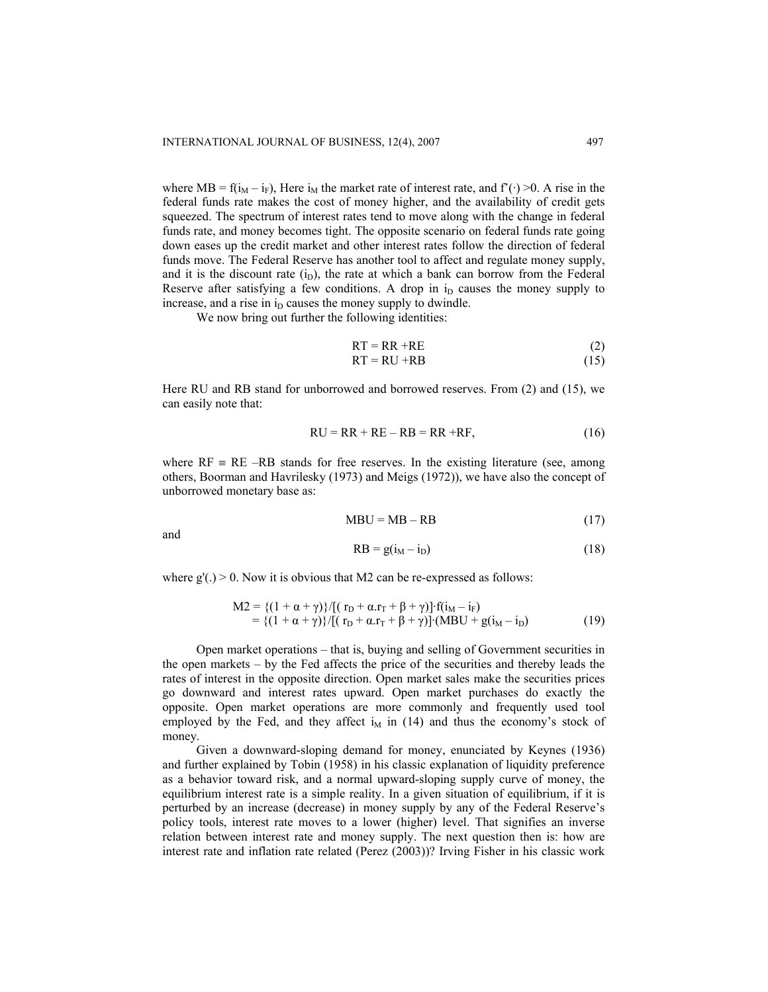where MB =  $f(i_M - i_F)$ , Here  $i_M$  the market rate of interest rate, and  $f'(·) > 0$ . A rise in the federal funds rate makes the cost of money higher, and the availability of credit gets squeezed. The spectrum of interest rates tend to move along with the change in federal funds rate, and money becomes tight. The opposite scenario on federal funds rate going down eases up the credit market and other interest rates follow the direction of federal funds move. The Federal Reserve has another tool to affect and regulate money supply, and it is the discount rate  $(i_D)$ , the rate at which a bank can borrow from the Federal Reserve after satisfying a few conditions. A drop in  $i<sub>D</sub>$  causes the money supply to increase, and a rise in  $i<sub>D</sub>$  causes the money supply to dwindle.

We now bring out further the following identities:

$$
RT = RR + RE
$$
 (2)  

$$
RT = RU + RB
$$
 (15)

Here RU and RB stand for unborrowed and borrowed reserves. From (2) and (15), we can easily note that:

$$
RU = RR + RE - RB = RR + RF,
$$
\n(16)

where  $RF \equiv RE -RB$  stands for free reserves. In the existing literature (see, among others, Boorman and Havrilesky (1973) and Meigs (1972)), we have also the concept of unborrowed monetary base as:

$$
MBU = MB - RB \tag{17}
$$

and

$$
RB = g(iM - iD)
$$
 (18)

where  $g'(.) > 0$ . Now it is obvious that M2 can be re-expressed as follows:

$$
M2 = \{(1 + \alpha + \gamma)\}/[(r_D + \alpha.r_T + \beta + \gamma)] \cdot f(i_M - i_F)
$$
  
= \{(1 + \alpha + \gamma)\}/[(r\_D + \alpha.r\_T + \beta + \gamma)] \cdot (MBU + g(i\_M - i\_D) (19)

Open market operations – that is, buying and selling of Government securities in the open markets – by the Fed affects the price of the securities and thereby leads the rates of interest in the opposite direction. Open market sales make the securities prices go downward and interest rates upward. Open market purchases do exactly the opposite. Open market operations are more commonly and frequently used tool employed by the Fed, and they affect  $i_M$  in (14) and thus the economy's stock of money.

Given a downward-sloping demand for money, enunciated by Keynes (1936) and further explained by Tobin (1958) in his classic explanation of liquidity preference as a behavior toward risk, and a normal upward-sloping supply curve of money, the equilibrium interest rate is a simple reality. In a given situation of equilibrium, if it is perturbed by an increase (decrease) in money supply by any of the Federal Reserve's policy tools, interest rate moves to a lower (higher) level. That signifies an inverse relation between interest rate and money supply. The next question then is: how are interest rate and inflation rate related (Perez (2003))? Irving Fisher in his classic work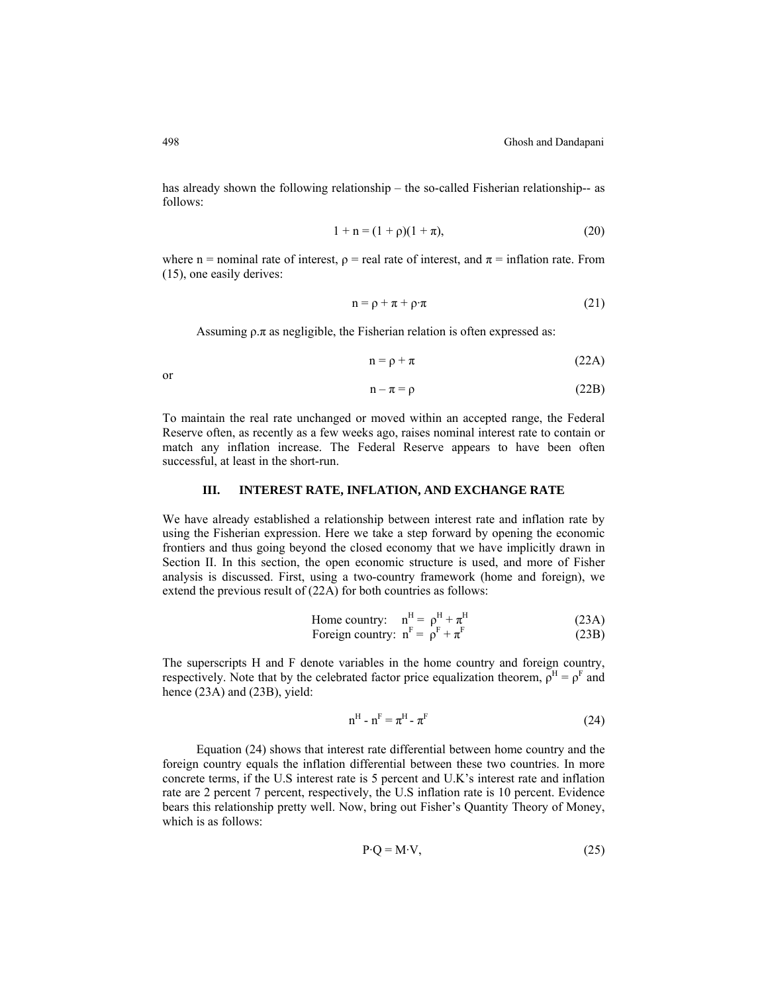has already shown the following relationship – the so-called Fisherian relationship-- as follows:

$$
1 + n = (1 + \rho)(1 + \pi),\tag{20}
$$

where n = nominal rate of interest,  $\rho$  = real rate of interest, and  $\pi$  = inflation rate. From (15), one easily derives:

$$
n = \rho + \pi + \rho \cdot \pi \tag{21}
$$

Assuming  $\rho \pi$  as negligible, the Fisherian relation is often expressed as:

$$
n = \rho + \pi \tag{22A}
$$

or

$$
n - \pi = \rho \tag{22B}
$$

To maintain the real rate unchanged or moved within an accepted range, the Federal Reserve often, as recently as a few weeks ago, raises nominal interest rate to contain or match any inflation increase. The Federal Reserve appears to have been often successful, at least in the short-run.

# **III. INTEREST RATE, INFLATION, AND EXCHANGE RATE**

We have already established a relationship between interest rate and inflation rate by using the Fisherian expression. Here we take a step forward by opening the economic frontiers and thus going beyond the closed economy that we have implicitly drawn in Section II. In this section, the open economic structure is used, and more of Fisher analysis is discussed. First, using a two-country framework (home and foreign), we extend the previous result of (22A) for both countries as follows:

Home country: 
$$
n^{H} = \rho^{H} + \pi^{H}
$$
 (23A)  
Foreign country: 
$$
n^{F} = \rho^{F} + \pi^{F}
$$
 (23B)

The superscripts H and F denote variables in the home country and foreign country, respectively. Note that by the celebrated factor price equalization theorem,  $\rho^H = \rho^F$  and hence (23A) and (23B), yield:

$$
\mathbf{n}^{\mathrm{H}} \cdot \mathbf{n}^{\mathrm{F}} = \boldsymbol{\pi}^{\mathrm{H}} \cdot \boldsymbol{\pi}^{\mathrm{F}} \tag{24}
$$

Equation (24) shows that interest rate differential between home country and the foreign country equals the inflation differential between these two countries. In more concrete terms, if the U.S interest rate is 5 percent and U.K's interest rate and inflation rate are 2 percent 7 percent, respectively, the U.S inflation rate is 10 percent. Evidence bears this relationship pretty well. Now, bring out Fisher's Quantity Theory of Money, which is as follows:

$$
P \cdot Q = M \cdot V,\tag{25}
$$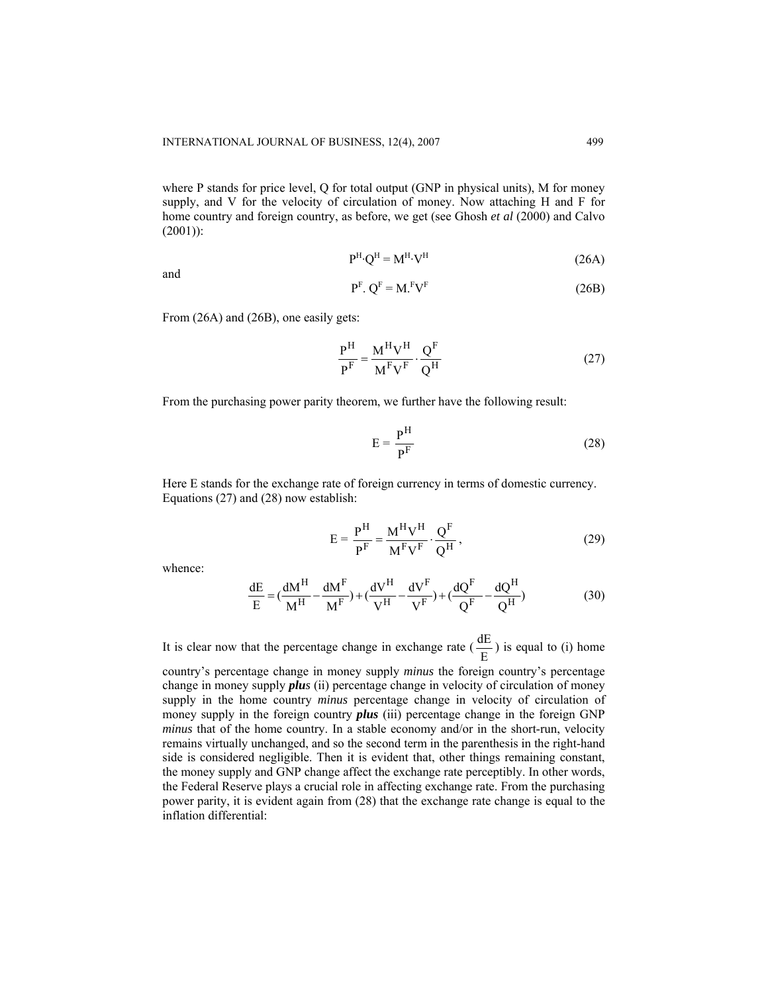where P stands for price level, Q for total output (GNP in physical units), M for money supply, and V for the velocity of circulation of money. Now attaching H and F for home country and foreign country, as before, we get (see Ghosh *et al* (2000) and Calvo  $(2001)$ :

$$
P^{H} \cdot Q^{H} = M^{H} \cdot V^{H} \tag{26A}
$$

and

$$
PF. QF = MFVF
$$
 (26B)

From (26A) and (26B), one easily gets:

$$
\frac{P^{H}}{P^{F}} = \frac{M^{H}V^{H}}{M^{F}V^{F}} \cdot \frac{Q^{F}}{Q^{H}}
$$
 (27)

From the purchasing power parity theorem, we further have the following result:

$$
E = \frac{P^H}{P^F}
$$
 (28)

Here E stands for the exchange rate of foreign currency in terms of domestic currency. Equations (27) and (28) now establish:

$$
E = \frac{P^{H}}{P^{F}} = \frac{M^{H}V^{H}}{M^{F}V^{F}} \cdot \frac{Q^{F}}{Q^{H}},
$$
\n(29)

whence:

$$
\frac{dE}{E} = \left(\frac{dM^H}{M^H} - \frac{dM^F}{M^F}\right) + \left(\frac{dV^H}{V^H} - \frac{dV^F}{V^F}\right) + \left(\frac{dQ^F}{Q^F} - \frac{dQ^H}{Q^H}\right) \tag{30}
$$

It is clear now that the percentage change in exchange rate  $(\frac{dE}{E})$  is equal to (i) home

country's percentage change in money supply *minus* the foreign country's percentage change in money supply *plus* (ii) percentage change in velocity of circulation of money supply in the home country *minus* percentage change in velocity of circulation of money supply in the foreign country *plus* (iii) percentage change in the foreign GNP *minus* that of the home country. In a stable economy and/or in the short-run, velocity remains virtually unchanged, and so the second term in the parenthesis in the right-hand side is considered negligible. Then it is evident that, other things remaining constant, the money supply and GNP change affect the exchange rate perceptibly. In other words, the Federal Reserve plays a crucial role in affecting exchange rate. From the purchasing power parity, it is evident again from (28) that the exchange rate change is equal to the inflation differential: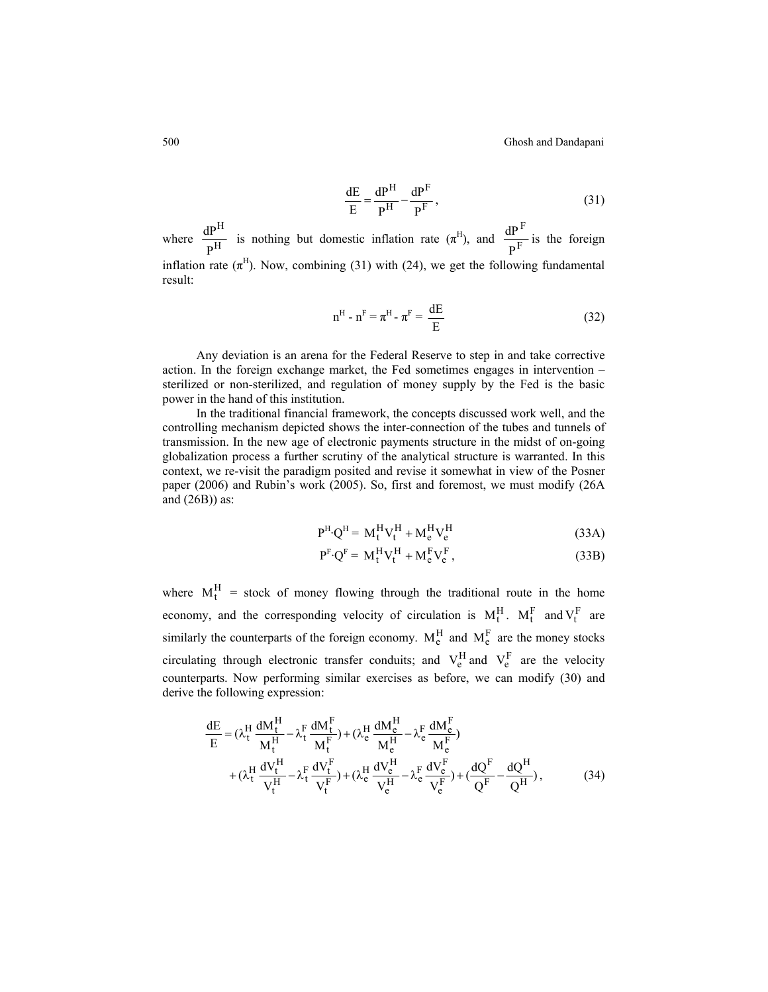500 Ghosh and Dandapani

$$
\frac{dE}{E} = \frac{dP^{H}}{P^{H}} - \frac{dP^{F}}{P^{F}},
$$
\n(31)

where  $\frac{d\mathbf{H}}{d\mathbf{H}}$ H  $\frac{dP^H}{P^H}$  is nothing but domestic inflation rate  $(\pi^H)$ , and  $\frac{dP^F}{P^F}$ P  $\frac{dP^{\text{F}}}{dE}$  is the foreign inflation rate  $(\pi^H)$ . Now, combining (31) with (24), we get the following fundamental result:

$$
nH - nF = \piH - \piF = \frac{dE}{E}
$$
 (32)

 Any deviation is an arena for the Federal Reserve to step in and take corrective action. In the foreign exchange market, the Fed sometimes engages in intervention – sterilized or non-sterilized, and regulation of money supply by the Fed is the basic power in the hand of this institution.

 In the traditional financial framework, the concepts discussed work well, and the controlling mechanism depicted shows the inter-connection of the tubes and tunnels of transmission. In the new age of electronic payments structure in the midst of on-going globalization process a further scrutiny of the analytical structure is warranted. In this context, we re-visit the paradigm posited and revise it somewhat in view of the Posner paper (2006) and Rubin's work (2005). So, first and foremost, we must modify (26A and  $(26B)$ ) as:

$$
P^H \cdot Q^H = M_t^H V_t^H + M_e^H V_e^H \tag{33A}
$$

$$
P^{F} \cdot Q^{F} = M_{t}^{H} V_{t}^{H} + M_{e}^{F} V_{e}^{F}, \qquad (33B)
$$

where  $M_t^H$  = stock of money flowing through the traditional route in the home economy, and the corresponding velocity of circulation is  $M_t^H$ .  $M_t^F$  and  $V_t^F$  are similarly the counterparts of the foreign economy.  $M_e^H$  and  $M_e^F$  are the money stocks circulating through electronic transfer conduits; and  $V_e^H$  and  $V_e^F$  are the velocity counterparts. Now performing similar exercises as before, we can modify (30) and derive the following expression:

$$
\frac{dE}{E} = (\lambda_t^H \frac{dM_t^H}{M_t^H} - \lambda_t^F \frac{dM_t^F}{M_t^F}) + (\lambda_e^H \frac{dM_e^H}{M_e^H} - \lambda_e^F \frac{dM_e^F}{M_e^F})
$$
\n
$$
+ (\lambda_t^H \frac{dV_t^H}{V_t^H} - \lambda_t^F \frac{dV_t^F}{V_t^F}) + (\lambda_e^H \frac{dV_e^H}{V_e^H} - \lambda_e^F \frac{dV_e^F}{V_e^F}) + (\frac{dQ^F}{Q^F} - \frac{dQ^H}{Q^H}),
$$
\n(34)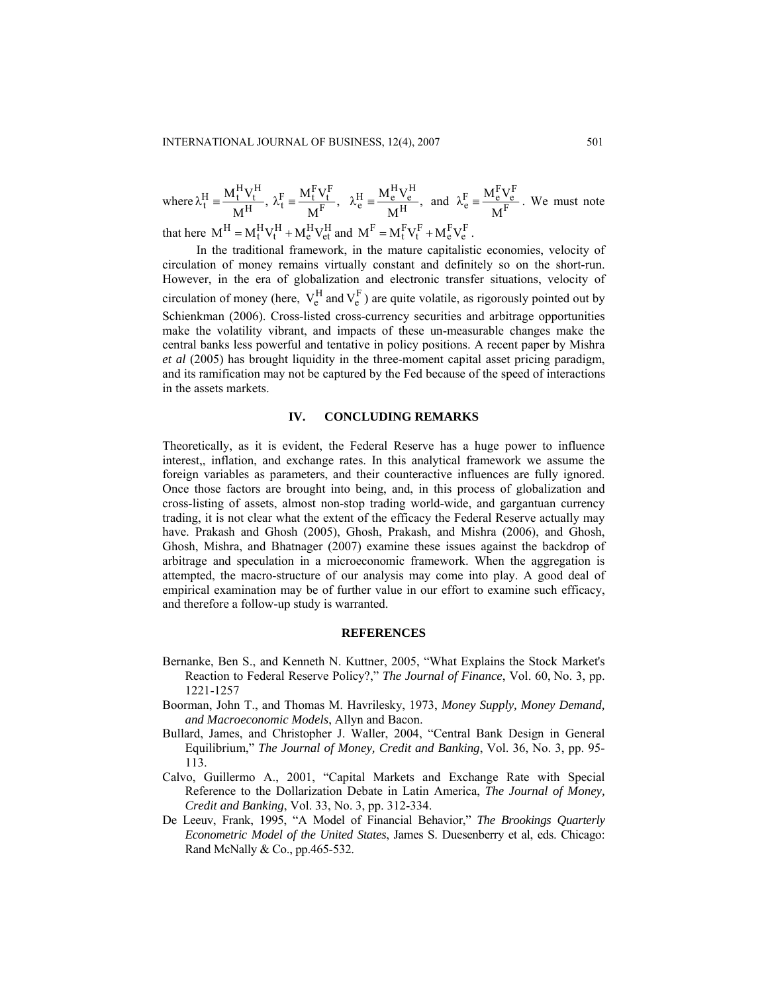where  $\lambda_t^H = \frac{M_t^H V_t^H}{M^H}$ , H  $\lambda_t^H \equiv \frac{M_t^H V_t^H}{M^H}, \ \lambda_t^F \equiv \frac{M_t^F V_t^F}{M^F},$ F  $\lambda_t^{\rm F} \equiv \frac{M_t^{\rm F} V_t^{\rm F}}{M^{\rm F}},~~ \lambda_e^{\rm H} \equiv \frac{M_e^{\rm H} V_e^{\rm H}}{M^{\rm H}},$ H  $\lambda_e^H = \frac{M_e^H V_e^H}{M^H}$ , and  $\lambda_e^F = \frac{M_e^F V_e^F}{M^F}$ . We must note that here  $M^H = M_t^H V_t^H + M_e^H V_{et}^H$  and  $M^F = M_t^F V_t^F + M_e^F V_e^F$ .

In the traditional framework, in the mature capitalistic economies, velocity of circulation of money remains virtually constant and definitely so on the short-run. However, in the era of globalization and electronic transfer situations, velocity of circulation of money (here,  $V_e^H$  and  $V_e^F$ ) are quite volatile, as rigorously pointed out by Schienkman (2006). Cross-listed cross-currency securities and arbitrage opportunities make the volatility vibrant, and impacts of these un-measurable changes make the central banks less powerful and tentative in policy positions. A recent paper by Mishra *et al* (2005) has brought liquidity in the three-moment capital asset pricing paradigm, and its ramification may not be captured by the Fed because of the speed of interactions in the assets markets.

### **IV. CONCLUDING REMARKS**

Theoretically, as it is evident, the Federal Reserve has a huge power to influence interest,, inflation, and exchange rates. In this analytical framework we assume the foreign variables as parameters, and their counteractive influences are fully ignored. Once those factors are brought into being, and, in this process of globalization and cross-listing of assets, almost non-stop trading world-wide, and gargantuan currency trading, it is not clear what the extent of the efficacy the Federal Reserve actually may have. Prakash and Ghosh (2005), Ghosh, Prakash, and Mishra (2006), and Ghosh, Ghosh, Mishra, and Bhatnager (2007) examine these issues against the backdrop of arbitrage and speculation in a microeconomic framework. When the aggregation is attempted, the macro-structure of our analysis may come into play. A good deal of empirical examination may be of further value in our effort to examine such efficacy, and therefore a follow-up study is warranted.

#### **REFERENCES**

- Bernanke, Ben S., and Kenneth N. Kuttner, 2005, "What Explains the Stock Market's Reaction to Federal Reserve Policy?," *The Journal of Finance*, Vol. 60, No. 3, pp. 1221-1257
- Boorman, John T., and Thomas M. Havrilesky, 1973, *Money Supply, Money Demand, and Macroeconomic Models*, Allyn and Bacon.
- Bullard, James, and Christopher J. Waller, 2004, "Central Bank Design in General Equilibrium," *The Journal of Money, Credit and Banking*, Vol. 36, No. 3, pp. 95- 113.
- Calvo, Guillermo A., 2001, "Capital Markets and Exchange Rate with Special Reference to the Dollarization Debate in Latin America, *The Journal of Money, Credit and Banking*, Vol. 33, No. 3, pp. 312-334.
- De Leeuv, Frank, 1995, "A Model of Financial Behavior," *The Brookings Quarterly Econometric Model of the United States*, James S. Duesenberry et al, eds. Chicago: Rand McNally & Co., pp.465-532.